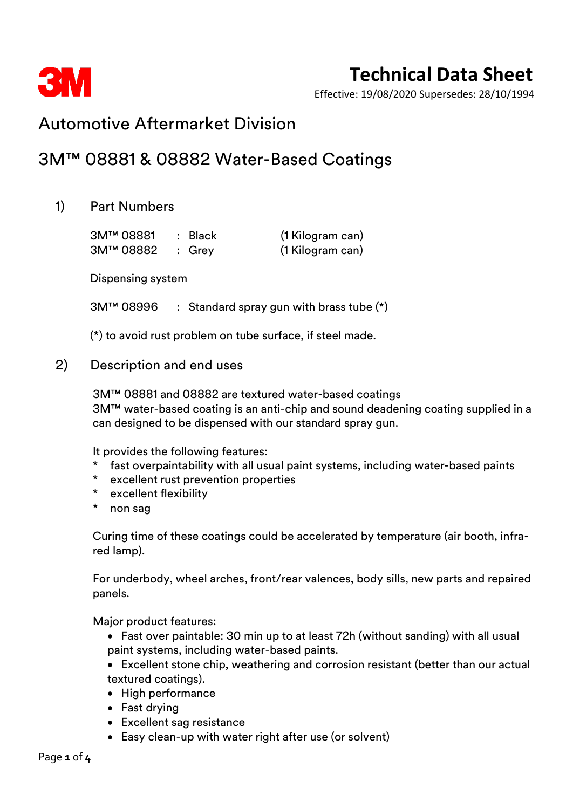

Effective: 19/08/2020 Supersedes: 28/10/1994

### Automotive Aftermarket Division

## 3M™ 08881 & 08882 Water-Based Coatings

### 1) Part Numbers

3M™ 08881 : Black (1 Kilogram can) 3M™ 08882 : Grey (1 Kilogram can)

Dispensing system

3M™ 08996 : Standard spray gun with brass tube (\*)

(\*) to avoid rust problem on tube surface, if steel made.

2) Description and end uses

3M™ 08881 and 08882 are textured water-based coatings 3M™ water-based coating is an anti-chip and sound deadening coating supplied in a can designed to be dispensed with our standard spray gun.

It provides the following features:

- fast overpaintability with all usual paint systems, including water-based paints
- excellent rust prevention properties
- \* excellent flexibility
- non sag

Curing time of these coatings could be accelerated by temperature (air booth, infrared lamp).

For underbody, wheel arches, front/rear valences, body sills, new parts and repaired panels.

Major product features:

- Fast over paintable: 30 min up to at least 72h (without sanding) with all usual paint systems, including water-based paints.
- Excellent stone chip, weathering and corrosion resistant (better than our actual textured coatings).
- High performance
- Fast drying
- Excellent sag resistance
- Easy clean-up with water right after use (or solvent)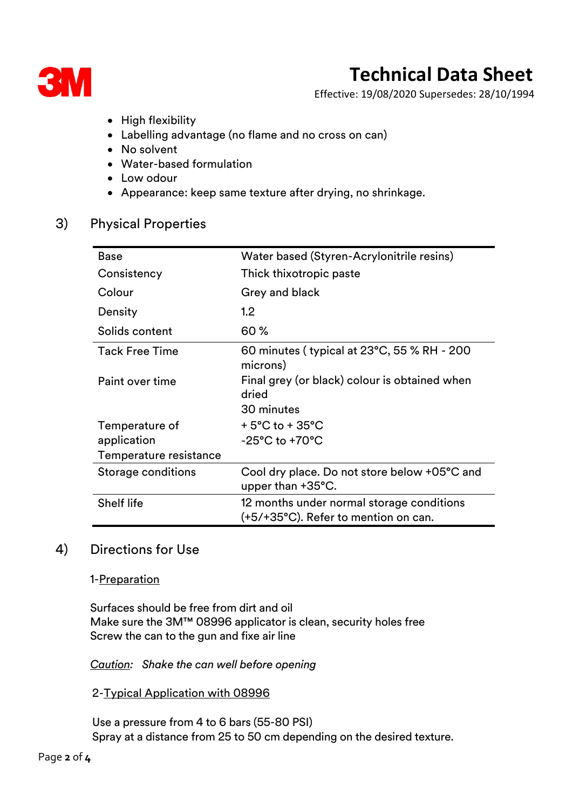

Effective: 19/08/2020 Supersedes: 28/10/1994

- High flexibility
- Labelling advantage (no flame and no cross on can)
- No solvent
- Water-based formulation
- Low odour
- Appearance: keep same texture after drying, no shrinkage.

### 3) Physical Properties

| <b>Base</b>            | Water based (Styren-Acrylonitrile resins)                                         |  |
|------------------------|-----------------------------------------------------------------------------------|--|
| Consistency            | Thick thixotropic paste                                                           |  |
| Colour                 | Grey and black                                                                    |  |
| Density                | 1.2 <sub>2</sub>                                                                  |  |
| Solids content         | 60 %                                                                              |  |
| <b>Tack Free Time</b>  | 60 minutes (typical at 23°C, 55 % RH - 200<br>microns)                            |  |
| Paint over time        | Final grey (or black) colour is obtained when<br>dried                            |  |
|                        | 30 minutes                                                                        |  |
| Temperature of         | $+5^{\circ}$ C to $+35^{\circ}$ C                                                 |  |
| application            | $-25^{\circ}$ C to $+70^{\circ}$ C                                                |  |
| Temperature resistance |                                                                                   |  |
| Storage conditions     | Cool dry place. Do not store below +05°C and<br>upper than $+35^{\circ}$ C.       |  |
| <b>Shelf life</b>      | 12 months under normal storage conditions<br>(+5/+35°C). Refer to mention on can. |  |

### 4) Directions for Use

1-Preparation

Surfaces should be free from dirt and oil Make sure the 3M™ 08996 applicator is clean, security holes free Screw the can to the gun and fixe air line

*Caution: Shake the can well before opening*

2-Typical Application with 08996

Use a pressure from 4 to 6 bars (55-80 PSI) Spray at a distance from 25 to 50 cm depending on the desired texture.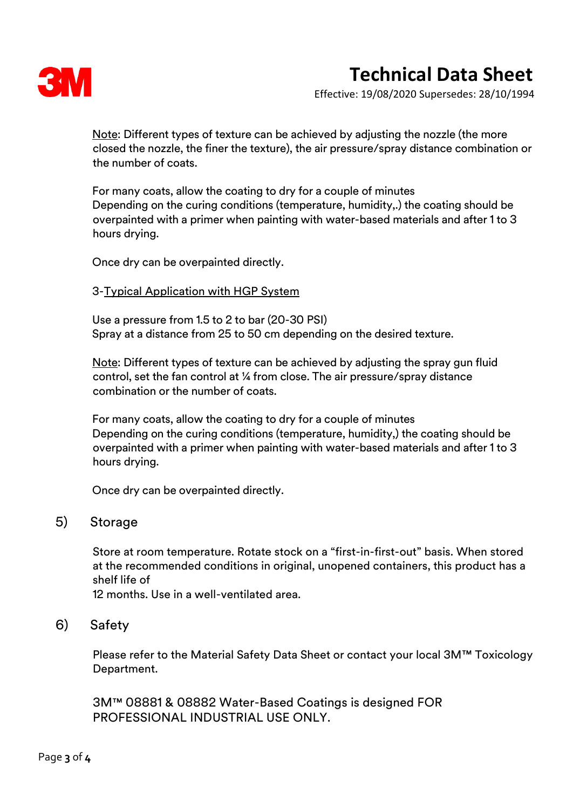

Effective: 19/08/2020 Supersedes: 28/10/1994

Note: Different types of texture can be achieved by adjusting the nozzle (the more closed the nozzle, the finer the texture), the air pressure/spray distance combination or the number of coats.

For many coats, allow the coating to dry for a couple of minutes Depending on the curing conditions (temperature, humidity,.) the coating should be overpainted with a primer when painting with water-based materials and after 1 to 3 hours drying.

Once dry can be overpainted directly.

#### 3-Typical Application with HGP System

Use a pressure from 1.5 to 2 to bar (20-30 PSI) Spray at a distance from 25 to 50 cm depending on the desired texture.

Note: Different types of texture can be achieved by adjusting the spray gun fluid control, set the fan control at ¼ from close. The air pressure/spray distance combination or the number of coats.

For many coats, allow the coating to dry for a couple of minutes Depending on the curing conditions (temperature, humidity,) the coating should be overpainted with a primer when painting with water-based materials and after 1 to 3 hours drying.

Once dry can be overpainted directly.

### 5) Storage

Store at room temperature. Rotate stock on a "first-in-first-out" basis. When stored at the recommended conditions in original, unopened containers, this product has a shelf life of

12 months. Use in a well-ventilated area.

#### 6) Safety

Please refer to the Material Safety Data Sheet or contact your local 3M™ Toxicology Department.

3M™ 08881 & 08882 Water-Based Coatings is designed FOR PROFESSIONAL INDUSTRIAL USE ONLY.